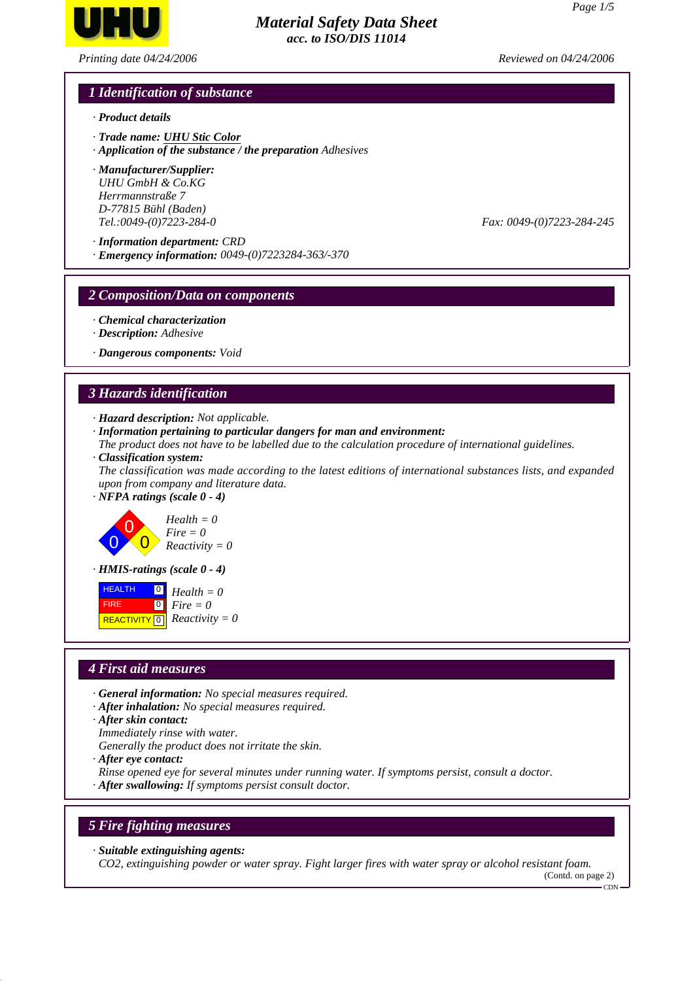

*Printing date 04/24/2006 Reviewed on 04/24/2006*

# *1 Identification of substance*

- *· Product details*
- *· Trade name: UHU Stic Color*
- *· Application of the substance / the preparation Adhesives*
- *· Manufacturer/Supplier: UHU GmbH & Co.KG Herrmannstraße 7 D-77815 Bühl (Baden) Tel.:0049-(0)7223-284-0 Fax: 0049-(0)7223-284-245*
- *· Information department: CRD*
- *· Emergency information: 0049-(0)7223284-363/-370*

#### *2 Composition/Data on components*

- *· Chemical characterization*
- *· Description: Adhesive*

*· Dangerous components: Void*

#### *3 Hazards identification*

- *· Hazard description: Not applicable.*
- *· Information pertaining to particular dangers for man and environment:*
- *The product does not have to be labelled due to the calculation procedure of international guidelines. · Classification system:*

*The classification was made according to the latest editions of international substances lists, and expanded upon from company and literature data.*

*· NFPA ratings (scale 0 - 4)*





*· HMIS-ratings (scale 0 - 4)*



#### *4 First aid measures*

- *· General information: No special measures required.*
- *· After inhalation: No special measures required.*
- *· After skin contact:*
- *Immediately rinse with water.*
- *Generally the product does not irritate the skin.*
- *· After eye contact:*
- *Rinse opened eye for several minutes under running water. If symptoms persist, consult a doctor.*
- *· After swallowing: If symptoms persist consult doctor.*

#### *5 Fire fighting measures*

*· Suitable extinguishing agents:*

*CO2, extinguishing powder or water spray. Fight larger fires with water spray or alcohol resistant foam.*

(Contd. on page 2)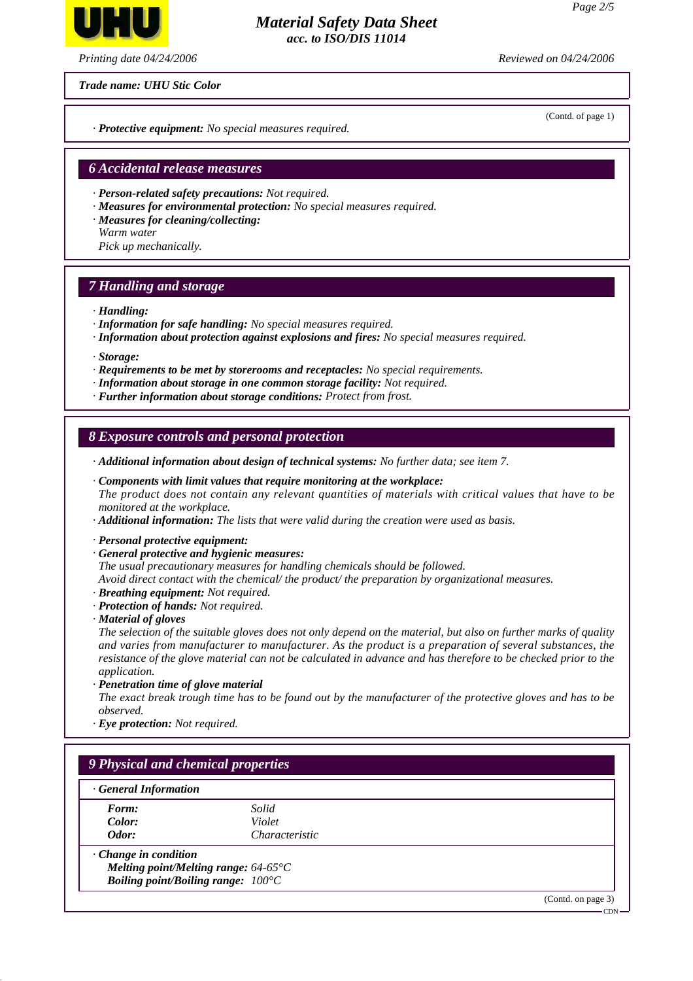

*Printing date 04/24/2006 Reviewed on 04/24/2006*

*Trade name: UHU Stic Color*

*· Protective equipment: No special measures required.*

#### *6 Accidental release measures*

- *· Person-related safety precautions: Not required.*
- *· Measures for environmental protection: No special measures required.*
- *· Measures for cleaning/collecting:*
- *Warm water*
- *Pick up mechanically.*

#### *7 Handling and storage*

#### *· Handling:*

- *· Information for safe handling: No special measures required.*
- *· Information about protection against explosions and fires: No special measures required.*
- *· Storage:*
- *· Requirements to be met by storerooms and receptacles: No special requirements.*
- *· Information about storage in one common storage facility: Not required.*
- *· Further information about storage conditions: Protect from frost.*

#### *8 Exposure controls and personal protection*

*· Additional information about design of technical systems: No further data; see item 7.*

*· Components with limit values that require monitoring at the workplace: The product does not contain any relevant quantities of materials with critical values that have to be monitored at the workplace.*

*· Additional information: The lists that were valid during the creation were used as basis.*

*· Personal protective equipment:*

- *· General protective and hygienic measures:*
- *The usual precautionary measures for handling chemicals should be followed.*

*Avoid direct contact with the chemical/ the product/ the preparation by organizational measures. · Breathing equipment: Not required.*

- *· Protection of hands: Not required.*
- *· Material of gloves*

*The selection of the suitable gloves does not only depend on the material, but also on further marks of quality and varies from manufacturer to manufacturer. As the product is a preparation of several substances, the resistance of the glove material can not be calculated in advance and has therefore to be checked prior to the application.*

*· Penetration time of glove material*

*The exact break trough time has to be found out by the manufacturer of the protective gloves and has to be observed.*

*· Eye protection: Not required.*

# *9 Physical and chemical properties*

| General Information         |                                               |                              |
|-----------------------------|-----------------------------------------------|------------------------------|
| Form:                       | Solid                                         |                              |
| Color:                      | Violet                                        |                              |
| Odor:                       | Characteristic                                |                              |
| $\cdot$ Change in condition |                                               |                              |
|                             | Melting point/Melting range: $64-65^{\circ}C$ |                              |
|                             | Boiling point/Boiling range: $100^{\circ}$ C  |                              |
|                             |                                               | $(Contd \cap \text{base}$ 3) |

(Contd. on page 3)

(Contd. of page 1)

 $-CDN$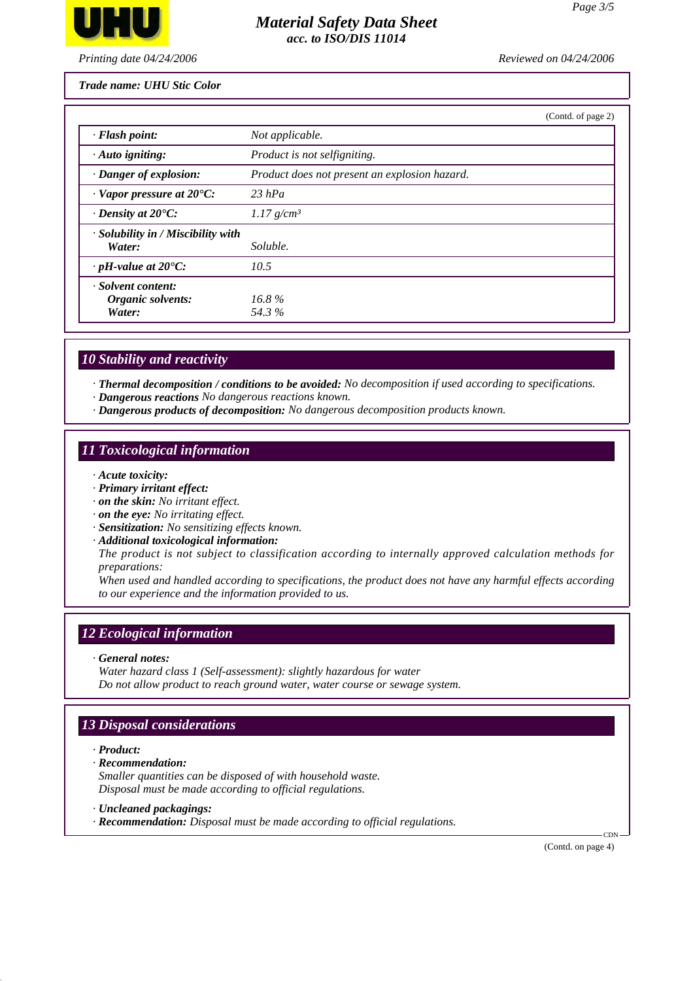

*Printing date 04/24/2006 Reviewed on 04/24/2006*

*Trade name: UHU Stic Color*

|                                                    |                                               | (Contd. of page 2) |
|----------------------------------------------------|-----------------------------------------------|--------------------|
| · Flash point:                                     | Not applicable.                               |                    |
| $\cdot$ Auto igniting:                             | Product is not selfigniting.                  |                    |
| · Danger of explosion:                             | Product does not present an explosion hazard. |                    |
| $\cdot$ Vapor pressure at 20 $\degree$ C:          | 23 hPa                                        |                    |
| $\cdot$ Density at 20 $\degree$ C:                 | $1.17$ g/cm <sup>3</sup>                      |                    |
| $\cdot$ Solubility in / Miscibility with<br>Water: | Soluble.                                      |                    |
| $\cdot$ pH-value at 20°C:                          | 10.5                                          |                    |
| · Solvent content:<br>Organic solvents:            | $16.8\%$                                      |                    |
| Water:                                             | 54.3%                                         |                    |

# *10 Stability and reactivity*

*· Thermal decomposition / conditions to be avoided: No decomposition if used according to specifications.*

- *· Dangerous reactions No dangerous reactions known.*
- *· Dangerous products of decomposition: No dangerous decomposition products known.*

# *11 Toxicological information*

- *· Acute toxicity:*
- *· Primary irritant effect:*
- *· on the skin: No irritant effect.*
- *· on the eye: No irritating effect.*
- *· Sensitization: No sensitizing effects known.*
- *· Additional toxicological information:*

*The product is not subject to classification according to internally approved calculation methods for preparations:*

*When used and handled according to specifications, the product does not have any harmful effects according to our experience and the information provided to us.*

# *12 Ecological information*

*· General notes:*

*Water hazard class 1 (Self-assessment): slightly hazardous for water Do not allow product to reach ground water, water course or sewage system.*

# *13 Disposal considerations*

- *· Product:*
- *· Recommendation:*

*Smaller quantities can be disposed of with household waste. Disposal must be made according to official regulations.*

- *· Uncleaned packagings:*
- *· Recommendation: Disposal must be made according to official regulations.*

(Contd. on page 4)

**CDN**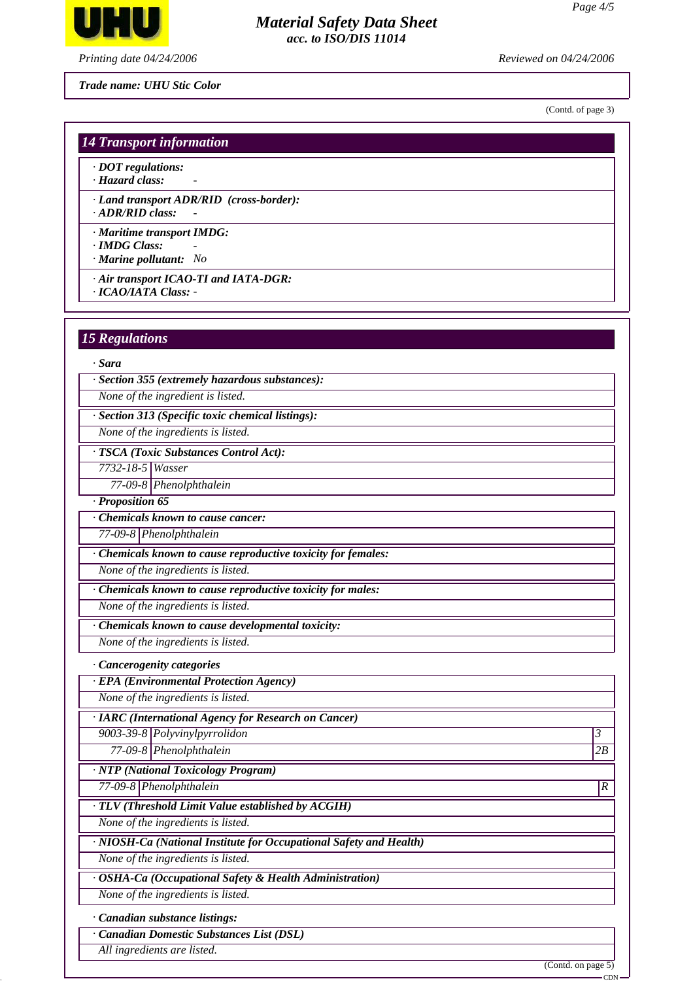

*Printing date 04/24/2006 Reviewed on 04/24/2006*

*Trade name: UHU Stic Color*

(Contd. of page 3)

#### *14 Transport information*

*· DOT regulations:*

*· Hazard class: -* 

*· Land transport ADR/RID (cross-border):*

*· ADR/RID class: -* 

*· Maritime transport IMDG:*

*· IMDG Class: - · Marine pollutant: No*

*· Air transport ICAO-TI and IATA-DGR: · ICAO/IATA Class: -* 

# *15 Regulations*

#### *· Sara*

*· Section 355 (extremely hazardous substances):*

*None of the ingredient is listed.*

*· Section 313 (Specific toxic chemical listings):*

*None of the ingredients is listed.*

*· TSCA (Toxic Substances Control Act):*

*7732-18-5 Wasser*

*77-09-8 Phenolphthalein*

*· Proposition 65*

*· Chemicals known to cause cancer:*

*77-09-8 Phenolphthalein*

*· Chemicals known to cause reproductive toxicity for females:*

*None of the ingredients is listed.*

*· Chemicals known to cause reproductive toxicity for males:*

*None of the ingredients is listed.*

*· Chemicals known to cause developmental toxicity:*

*None of the ingredients is listed.*

*· Cancerogenity categories*

*· EPA (Environmental Protection Agency)*

*None of the ingredients is listed.*

*· IARC (International Agency for Research on Cancer)*

*9003-39-8 Polyvinylpyrrolidon 3* 

*77-09-8 Phenolphthalein 2B*

*· NTP (National Toxicology Program)*

*77-09-8 Phenolphthalein R* 

*· TLV (Threshold Limit Value established by ACGIH)*

*None of the ingredients is listed.*

*· NIOSH-Ca (National Institute for Occupational Safety and Health)*

*None of the ingredients is listed.*

*· OSHA-Ca (Occupational Safety & Health Administration)*

*None of the ingredients is listed.*

*· Canadian substance listings:*

*· Canadian Domestic Substances List (DSL)*

*All ingredients are listed.*

(Contd. on page 5)

CDN